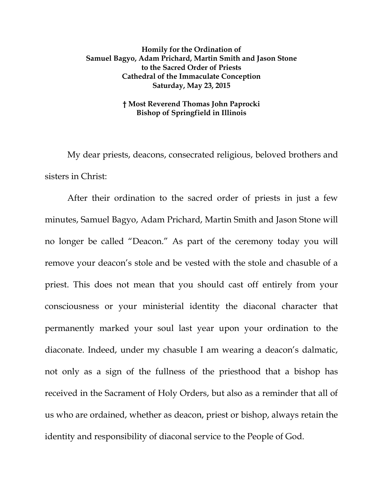## **Homily for the Ordination of Samuel Bagyo, Adam Prichard, Martin Smith and Jason Stone to the Sacred Order of Priests Cathedral of the Immaculate Conception Saturday, May 23, 2015**

## **† Most Reverend Thomas John Paprocki Bishop of Springfield in Illinois**

My dear priests, deacons, consecrated religious, beloved brothers and sisters in Christ:

After their ordination to the sacred order of priests in just a few minutes, Samuel Bagyo, Adam Prichard, Martin Smith and Jason Stone will no longer be called "Deacon." As part of the ceremony today you will remove your deacon's stole and be vested with the stole and chasuble of a priest. This does not mean that you should cast off entirely from your consciousness or your ministerial identity the diaconal character that permanently marked your soul last year upon your ordination to the diaconate. Indeed, under my chasuble I am wearing a deacon's dalmatic, not only as a sign of the fullness of the priesthood that a bishop has received in the Sacrament of Holy Orders, but also as a reminder that all of us who are ordained, whether as deacon, priest or bishop, always retain the identity and responsibility of diaconal service to the People of God.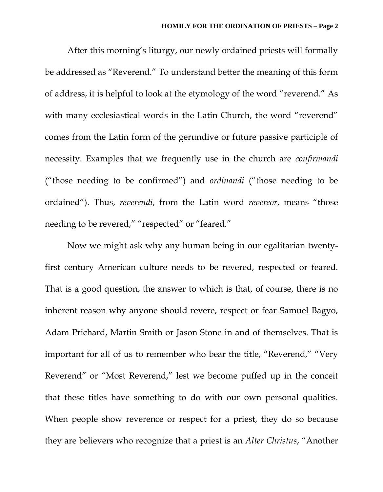After this morning's liturgy, our newly ordained priests will formally be addressed as "Reverend." To understand better the meaning of this form of address, it is helpful to look at the etymology of the word "reverend." As with many ecclesiastical words in the Latin Church, the word "reverend" comes from the Latin form of the gerundive or future passive participle of necessity. Examples that we frequently use in the church are *confirmandi* ("those needing to be confirmed") and *ordinandi* ("those needing to be ordained"). Thus, *reverendi*, from the Latin word *revereor*, means "those needing to be revered," "respected" or "feared."

Now we might ask why any human being in our egalitarian twentyfirst century American culture needs to be revered, respected or feared. That is a good question, the answer to which is that, of course, there is no inherent reason why anyone should revere, respect or fear Samuel Bagyo, Adam Prichard, Martin Smith or Jason Stone in and of themselves. That is important for all of us to remember who bear the title, "Reverend," "Very Reverend" or "Most Reverend," lest we become puffed up in the conceit that these titles have something to do with our own personal qualities. When people show reverence or respect for a priest, they do so because they are believers who recognize that a priest is an *Alter Christus*, "Another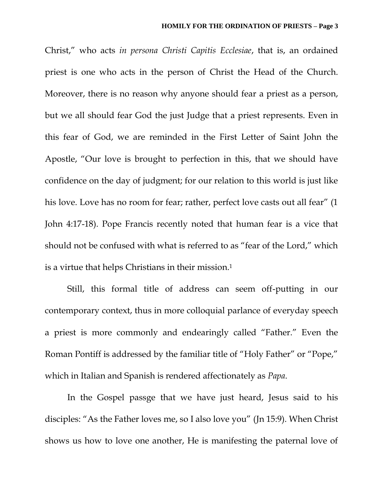Christ," who acts *in persona Christi Capitis Ecclesiae*, that is, an ordained priest is one who acts in the person of Christ the Head of the Church. Moreover, there is no reason why anyone should fear a priest as a person, but we all should fear God the just Judge that a priest represents. Even in this fear of God, we are reminded in the First Letter of Saint John the Apostle, "Our love is brought to perfection in this, that we should have confidence on the day of judgment; for our relation to this world is just like his love. Love has no room for fear; rather, perfect love casts out all fear" (1 John 4:17-18). Pope Francis recently noted that human fear is a vice that should not be confused with what is referred to as "fear of the Lord," which is a virtue that helps Christians in their mission.<sup>1</sup>

Still, this formal title of address can seem off-putting in our contemporary context, thus in more colloquial parlance of everyday speech a priest is more commonly and endearingly called "Father." Even the Roman Pontiff is addressed by the familiar title of "Holy Father" or "Pope," which in Italian and Spanish is rendered affectionately as *Papa*.

In the Gospel passge that we have just heard, Jesus said to his disciples: "As the Father loves me, so I also love you" (Jn 15:9). When Christ shows us how to love one another, He is manifesting the paternal love of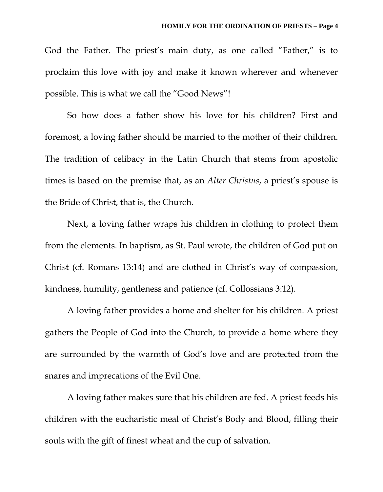God the Father. The priest's main duty, as one called "Father," is to proclaim this love with joy and make it known wherever and whenever possible. This is what we call the "Good News"!

So how does a father show his love for his children? First and foremost, a loving father should be married to the mother of their children. The tradition of celibacy in the Latin Church that stems from apostolic times is based on the premise that, as an *Alter Christus*, a priest's spouse is the Bride of Christ, that is, the Church.

Next, a loving father wraps his children in clothing to protect them from the elements. In baptism, as St. Paul wrote, the children of God put on Christ (cf. Romans 13:14) and are clothed in Christ's way of compassion, kindness, humility, gentleness and patience (cf. Collossians 3:12).

A loving father provides a home and shelter for his children. A priest gathers the People of God into the Church, to provide a home where they are surrounded by the warmth of God's love and are protected from the snares and imprecations of the Evil One.

A loving father makes sure that his children are fed. A priest feeds his children with the eucharistic meal of Christ's Body and Blood, filling their souls with the gift of finest wheat and the cup of salvation.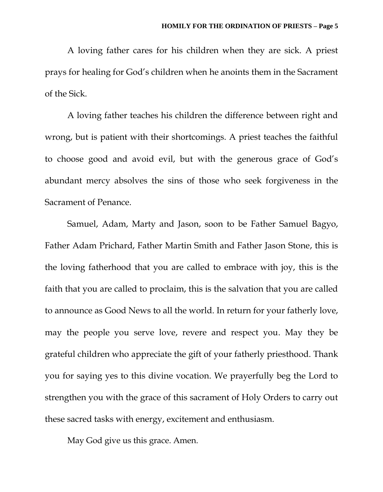A loving father cares for his children when they are sick. A priest prays for healing for God's children when he anoints them in the Sacrament of the Sick.

A loving father teaches his children the difference between right and wrong, but is patient with their shortcomings. A priest teaches the faithful to choose good and avoid evil, but with the generous grace of God's abundant mercy absolves the sins of those who seek forgiveness in the Sacrament of Penance.

Samuel, Adam, Marty and Jason, soon to be Father Samuel Bagyo, Father Adam Prichard, Father Martin Smith and Father Jason Stone, this is the loving fatherhood that you are called to embrace with joy, this is the faith that you are called to proclaim, this is the salvation that you are called to announce as Good News to all the world. In return for your fatherly love, may the people you serve love, revere and respect you. May they be grateful children who appreciate the gift of your fatherly priesthood. Thank you for saying yes to this divine vocation. We prayerfully beg the Lord to strengthen you with the grace of this sacrament of Holy Orders to carry out these sacred tasks with energy, excitement and enthusiasm.

May God give us this grace. Amen.